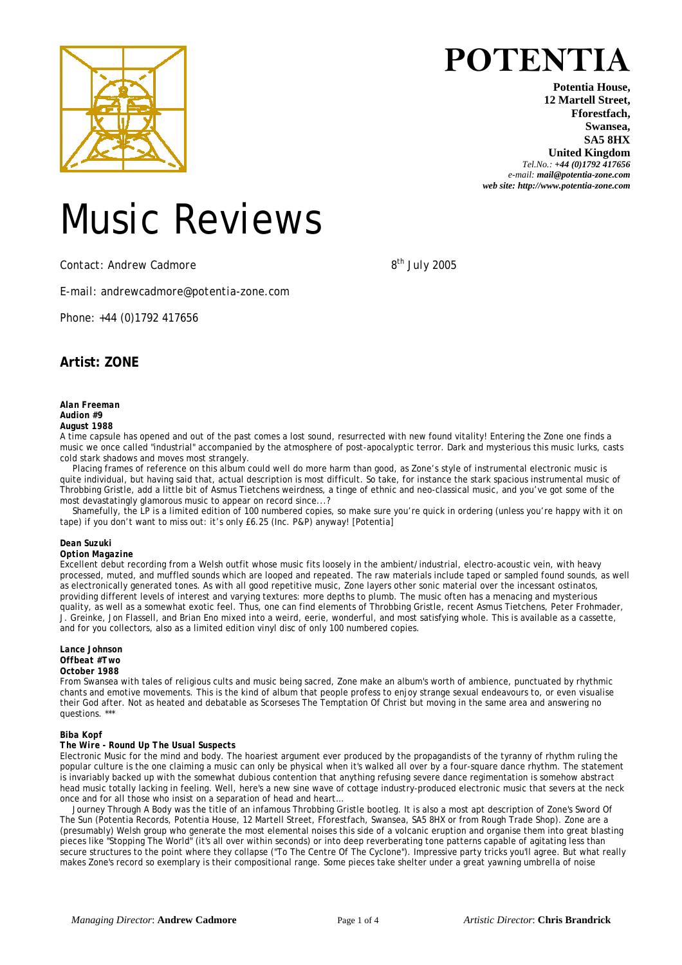

**Potentia House, 12 Martell Street, Fforestfach, Swansea, SA5 8HX United Kingdom**

*Tel.No.: +44 (0)1792 417656 e-mail: mail@potentia-zone.com web site: http://www.potentia-zone.com* 

# Music Reviews

*Contact: Andrew Cadmore 8th July 2005*

*E-mail: andrewcadmore@potentia-zone.com* 

*Phone: +44 (0)1792 417656*

## **Artist: ZONE**

## *Alan Freeman*

#### *Audion #9 August 1988*

A time capsule has opened and out of the past comes a lost sound, resurrected with new found vitality! Entering the Zone one finds a music we once called "industrial" accompanied by the atmosphere of post-apocalyptic terror. Dark and mysterious this music lurks, casts cold stark shadows and moves most strangely.

Placing frames of reference on this album could well do more harm than good, as Zone's style of instrumental electronic music is quite individual, but having said that, actual description is most difficult. So take, for instance the stark spacious instrumental music of Throbbing Gristle, add a little bit of Asmus Tietchens weirdness, a tinge of ethnic and neo-classical music, and you've got some of the most devastatingly glamorous music to appear on record since...?

Shamefully, the LP is a limited edition of 100 numbered copies, so make sure you're quick in ordering (unless you're happy with it on tape) if you don't want to miss out: it's only £6.25 (Inc. P&P) anyway! [Potentia]

## *Dean Suzuki*

#### *Option Magazine*

Excellent debut recording from a Welsh outfit whose music fits loosely in the ambient/industrial, electro-acoustic vein, with heavy processed, muted, and muffled sounds which are looped and repeated. The raw materials include taped or sampled found sounds, as well as electronically generated tones. As with all good repetitive music, Zone layers other sonic material over the incessant ostinatos, providing different levels of interest and varying textures: more depths to plumb. The music often has a menacing and mysterious quality, as well as a somewhat exotic feel. Thus, one can find elements of Throbbing Gristle, recent Asmus Tietchens, Peter Frohmader, J. Greinke, Jon Flassell, and Brian Eno mixed into a weird, eerie, wonderful, and most satisfying whole. This is available as a cassette, and for you collectors, also as a limited edition vinyl disc of only 100 numbered copies.

#### *Lance Johnson Offbeat #Two*

## *October 1988*

From Swansea with tales of religious cults and music being sacred, Zone make an album's worth of ambience, punctuated by rhythmic chants and emotive movements. This is the kind of album that people profess to enjoy strange sexual endeavours to, or even visualise their God after. Not as heated and debatable as Scorseses The Temptation Of Christ but moving in the same area and answering no questions.

#### *Biba Kopf*

#### *The Wire - Round Up The Usual Suspects*

Electronic Music for the mind and body. The hoariest argument ever produced by the propagandists of the tyranny of rhythm ruling the popular culture is the one claiming a music can only be physical when it's walked all over by a four-square dance rhythm. The statement is invariably backed up with the somewhat dubious contention that anything refusing severe dance regimentation is somehow abstract head music totally lacking in feeling. Well, here's a new sine wave of cottage industry-produced electronic music that severs at the neck once and for all those who insist on a separation of head and heart…

Journey Through A Body was the title of an infamous Throbbing Gristle bootleg. It is also a most apt description of Zone's Sword Of The Sun (Potentia Records, Potentia House, 12 Martell Street, Fforestfach, Swansea, SA5 8HX or from Rough Trade Shop). Zone are a (presumably) Welsh group who generate the most elemental noises this side of a volcanic eruption and organise them into great blasting pieces like "Stopping The World" (it's all over within seconds) or into deep reverberating tone patterns capable of agitating less than secure structures to the point where they collapse ("To The Centre Of The Cyclone"). Impressive party tricks you'll agree. But what really makes Zone's record so exemplary is their compositional range. Some pieces take shelter under a great yawning umbrella of noise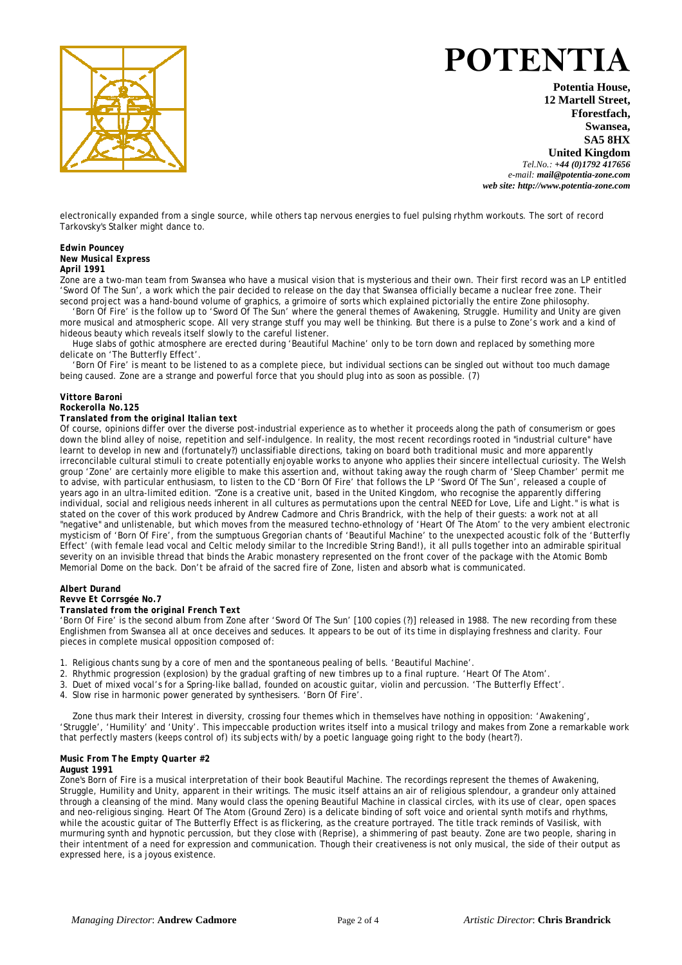

**Potentia House, 12 Martell Street, Fforestfach, Swansea, SA5 8HX United Kingdom** *Tel.No.: +44 (0)1792 417656*

*e-mail: mail@potentia-zone.com web site: http://www.potentia-zone.com* 

electronically expanded from a single source, while others tap nervous energies to fuel pulsing rhythm workouts. The sort of record Tarkovsky's Stalker might dance to.

#### *Edwin Pouncey New Musical Express April 1991*

Zone are a two-man team from Swansea who have a musical vision that is mysterious and their own. Their first record was an LP entitled 'Sword Of The Sun', a work which the pair decided to release on the day that Swansea officially became a nuclear free zone. Their second project was a hand-bound volume of graphics, a grimoire of sorts which explained pictorially the entire Zone philosophy.

'Born Of Fire' is the follow up to 'Sword Of The Sun' where the general themes of Awakening, Struggle. Humility and Unity are given more musical and atmospheric scope. All very strange stuff you may well be thinking. But there is a pulse to Zone's work and a kind of hideous beauty which reveals itself slowly to the careful listener.

Huge slabs of gothic atmosphere are erected during 'Beautiful Machine' only to be torn down and replaced by something more delicate on 'The Butterfly Effect'.

'Born Of Fire' is meant to be listened to as a complete piece, but individual sections can be singled out without too much damage being caused. Zone are a strange and powerful force that you should plug into as soon as possible. (7)

#### *Vittore Baroni Rockerolla No.125*

## *Translated from the original Italian text*

Of course, opinions differ over the diverse post-industrial experience as to whether it proceeds along the path of consumerism or goes down the blind alley of noise, repetition and self-indulgence. In reality, the most recent recordings rooted in "industrial culture" have learnt to develop in new and (fortunately?) unclassifiable directions, taking on board both traditional music and more apparently irreconcilable cultural stimuli to create potentially enjoyable works to anyone who applies their sincere intellectual curiosity. The Welsh group 'Zone' are certainly more eligible to make this assertion and, without taking away the rough charm of 'Sleep Chamber' permit me to advise, with particular enthusiasm, to listen to the CD 'Born Of Fire' that follows the LP 'Sword Of The Sun', released a couple of years ago in an ultra-limited edition. "Zone is a creative unit, based in the United Kingdom, who recognise the apparently differing individual, social and religious needs inherent in all cultures as permutations upon the central NEED for Love, Life and Light." is what is stated on the cover of this work produced by Andrew Cadmore and Chris Brandrick, with the help of their guests: a work not at all "negative" and unlistenable, but which moves from the measured techno-ethnology of 'Heart Of The Atom' to the very ambient electronic mysticism of 'Born Of Fire', from the sumptuous Gregorian chants of 'Beautiful Machine' to the unexpected acoustic folk of the 'Butterfly Effect' (with female lead vocal and Celtic melody similar to the Incredible String Band!), it all pulls together into an admirable spiritual severity on an invisible thread that binds the Arabic monastery represented on the front cover of the package with the Atomic Bomb Memorial Dome on the back. Don't be afraid of the sacred fire of Zone, listen and absorb what is communicated.

#### *Albert Durand*

#### *Revve Et Corrsgée No.7*

#### *Translated from the original French Text*

'Born Of Fire' is the second album from Zone after 'Sword Of The Sun' [100 copies (?)] released in 1988. The new recording from these Englishmen from Swansea all at once deceives and seduces. It appears to be out of its time in displaying freshness and clarity. Four pieces in complete musical opposition composed of:

- 1. Religious chants sung by a core of men and the spontaneous pealing of bells. 'Beautiful Machine'.
- 2. Rhythmic progression (explosion) by the gradual grafting of new timbres up to a final rupture. 'Heart Of The Atom'.
- 3. Duet of mixed vocal's for a Spring-like ballad, founded on acoustic guitar, violin and percussion. 'The Butterfly Effect'.
- 4. Slow rise in harmonic power generated by synthesisers. 'Born Of Fire'.

Zone thus mark their Interest in diversity, crossing four themes which in themselves have nothing in opposition: 'Awakening', 'Struggle', 'Humility' and 'Unity'. This impeccable production writes itself into a musical trilogy and makes from Zone a remarkable work that perfectly masters (keeps control of) its subjects with/by a poetic language going right to the body (heart?).

#### *Music From The Empty Quarter #2 August 1991*

Zone's Born of Fire is a musical interpretation of their book Beautiful Machine. The recordings represent the themes of Awakening, Struggle, Humility and Unity, apparent in their writings. The music itself attains an air of religious splendour, a grandeur only attained through a cleansing of the mind. Many would class the opening Beautiful Machine in classical circles, with its use of clear, open spaces and neo-religious singing. Heart Of The Atom (Ground Zero) is a delicate binding of soft voice and oriental synth motifs and rhythms, while the acoustic guitar of The Butterfly Effect is as flickering, as the creature portrayed. The title track reminds of Vasilisk, with murmuring synth and hypnotic percussion, but they close with (Reprise), a shimmering of past beauty. Zone are two people, sharing in their intentment of a need for expression and communication. Though their creativeness is not only musical, the side of their output as expressed here, is a joyous existence.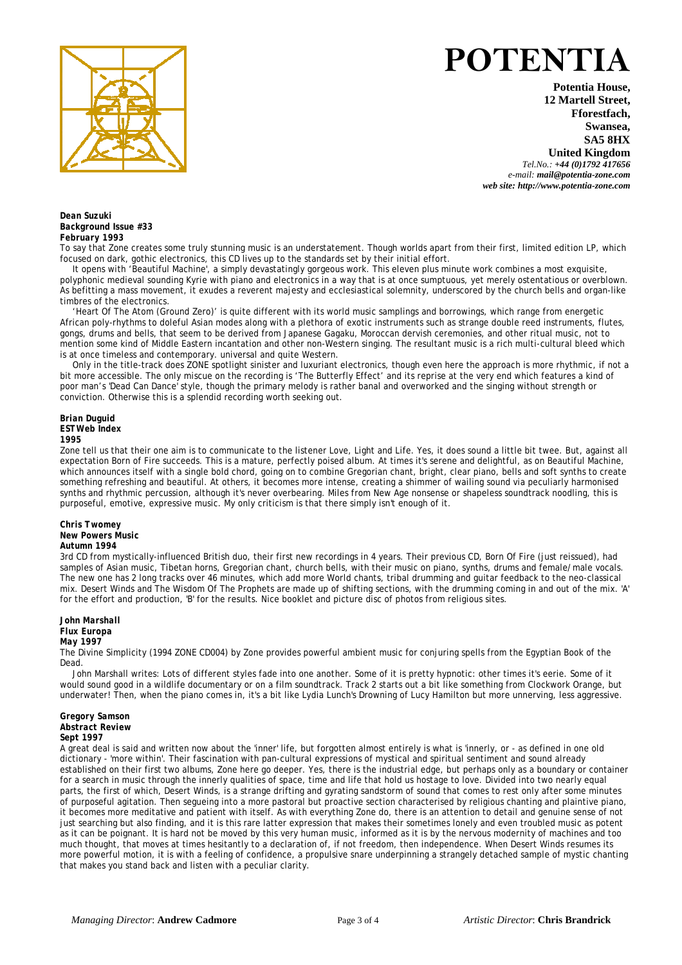

**Potentia House, 12 Martell Street, Fforestfach, Swansea, SA5 8HX United Kingdom**

*Tel.No.: +44 (0)1792 417656 e-mail: mail@potentia-zone.com web site: http://www.potentia-zone.com* 

#### *Dean Suzuki Background Issue #33 February 1993*

To say that Zone creates some truly stunning music is an understatement. Though worlds apart from their first, limited edition LP, which focused on dark, gothic electronics, this CD lives up to the standards set by their initial effort.

It opens with 'Beautiful Machine', a simply devastatingly gorgeous work. This eleven plus minute work combines a most exquisite, polyphonic medieval sounding Kyrie with piano and electronics in a way that is at once sumptuous, yet merely ostentatious or overblown. As befitting a mass movement, it exudes a reverent majesty and ecclesiastical solemnity, underscored by the church bells and organ-like timbres of the electronics.

'Heart Of The Atom (Ground Zero)' is quite different with its world music samplings and borrowings, which range from energetic African poly-rhythms to doleful Asian modes along with a plethora of exotic instruments such as strange double reed instruments, flutes, gongs, drums and bells, that seem to be derived from Japanese Gagaku, Moroccan dervish ceremonies, and other ritual music, not to mention some kind of Middle Eastern incantation and other non-Western singing. The resultant music is a rich multi-cultural bleed which is at once timeless and contemporary. universal and quite Western.

Only in the title-track does ZONE spotlight sinister and luxuriant electronics, though even here the approach is more rhythmic, if not a bit more accessible. The only miscue on the recording is 'The Butterfly Effect' and its reprise at the very end which features a kind of poor man's 'Dead Can Dance' style, though the primary melody is rather banal and overworked and the singing without strength or conviction. Otherwise this is a splendid recording worth seeking out.

## *Brian Duguid ESTWeb Index*

*1995* 

Zone tell us that their one aim is to communicate to the listener Love, Light and Life. Yes, it does sound a little bit twee. But, against all expectation Born of Fire succeeds. This is a mature, perfectly poised album. At times it's serene and delightful, as on Beautiful Machine, which announces itself with a single bold chord, going on to combine Gregorian chant, bright, clear piano, bells and soft synths to create something refreshing and beautiful. At others, it becomes more intense, creating a shimmer of wailing sound via peculiarly harmonised synths and rhythmic percussion, although it's never overbearing. Miles from New Age nonsense or shapeless soundtrack noodling, this is purposeful, emotive, expressive music. My only criticism is that there simply isn't enough of it.

#### *Chris Twomey New Powers Music Autumn 1994*

3rd CD from mystically-influenced British duo, their first new recordings in 4 years. Their previous CD, Born Of Fire (just reissued), had samples of Asian music, Tibetan horns, Gregorian chant, church bells, with their music on piano, synths, drums and female/male vocals. The new one has 2 long tracks over 46 minutes, which add more World chants, tribal drumming and guitar feedback to the neo-classical mix. Desert Winds and The Wisdom Of The Prophets are made up of shifting sections, with the drumming coming in and out of the mix. 'A' for the effort and production, 'B' for the results. Nice booklet and picture disc of photos from religious sites.

### *John Marshall*

*Flux Europa* 

*May 1997* 

The Divine Simplicity (1994 ZONE CD004) by Zone provides powerful ambient music for conjuring spells from the Egyptian Book of the Dead.

John Marshall writes: Lots of different styles fade into one another. Some of it is pretty hypnotic: other times it's eerie. Some of it would sound good in a wildlife documentary or on a film soundtrack. Track 2 starts out a bit like something from Clockwork Orange, but underwater! Then, when the piano comes in, it's a bit like Lydia Lunch's Drowning of Lucy Hamilton but more unnerving, less aggressive.

#### *Gregory Samson Abstract Review Sept 1997*

A great deal is said and written now about the 'inner' life, but forgotten almost entirely is what is 'innerly, or - as defined in one old dictionary - 'more within'. Their fascination with pan-cultural expressions of mystical and spiritual sentiment and sound already established on their first two albums, Zone here go deeper. Yes, there is the industrial edge, but perhaps only as a boundary or container for a search in music through the innerly qualities of space, time and life that hold us hostage to love. Divided into two nearly equal parts, the first of which, Desert Winds, is a strange drifting and gyrating sandstorm of sound that comes to rest only after some minutes of purposeful agitation. Then segueing into a more pastoral but proactive section characterised by religious chanting and plaintive piano, it becomes more meditative and patient with itself. As with everything Zone do, there is an attention to detail and genuine sense of not just searching but also finding, and it is this rare latter expression that makes their sometimes lonely and even troubled music as potent as it can be poignant. It is hard not be moved by this very human music, informed as it is by the nervous modernity of machines and too much thought, that moves at times hesitantly to a declaration of, if not freedom, then independence. When Desert Winds resumes its more powerful motion, it is with a feeling of confidence, a propulsive snare underpinning a strangely detached sample of mystic chanting that makes you stand back and listen with a peculiar clarity.